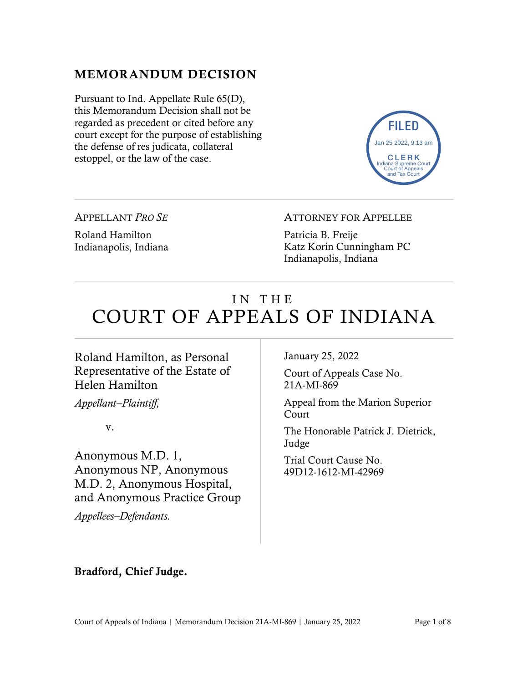#### MEMORANDUM DECISION

Pursuant to Ind. Appellate Rule 65(D), this Memorandum Decision shall not be regarded as precedent or cited before any court except for the purpose of establishing the defense of res judicata, collateral estoppel, or the law of the case.



APPELLANT *PRO SE*

Roland Hamilton Indianapolis, Indiana ATTORNEY FOR APPELLEE

Patricia B. Freije Katz Korin Cunningham PC Indianapolis, Indiana

# IN THE COURT OF APPEALS OF INDIANA

#### Roland Hamilton, as Personal Representative of the Estate of Helen Hamilton

*Appellant–Plaintiff,*

v.

Anonymous M.D. 1, Anonymous NP, Anonymous M.D. 2, Anonymous Hospital, and Anonymous Practice Group

*Appellees–Defendants.*

January 25, 2022

Court of Appeals Case No. 21A-MI-869

Appeal from the Marion Superior Court

The Honorable Patrick J. Dietrick, Judge

Trial Court Cause No. 49D12-1612-MI-42969

Bradford, Chief Judge.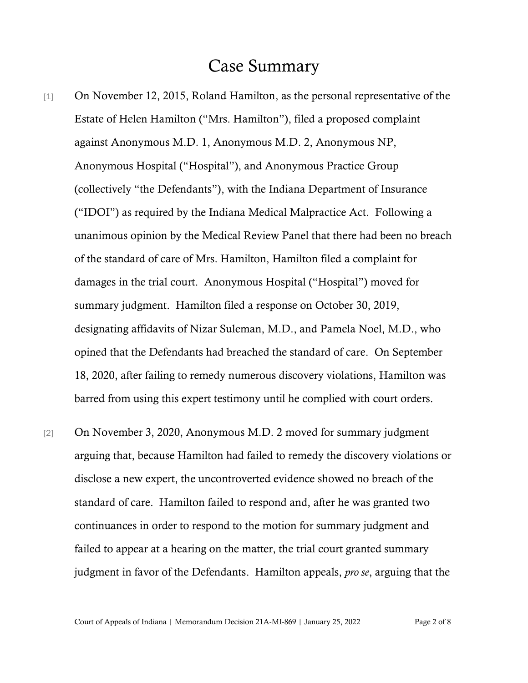### Case Summary

- [1] On November 12, 2015, Roland Hamilton, as the personal representative of the Estate of Helen Hamilton ("Mrs. Hamilton"), filed a proposed complaint against Anonymous M.D. 1, Anonymous M.D. 2, Anonymous NP, Anonymous Hospital ("Hospital"), and Anonymous Practice Group (collectively "the Defendants"), with the Indiana Department of Insurance ("IDOI") as required by the Indiana Medical Malpractice Act. Following a unanimous opinion by the Medical Review Panel that there had been no breach of the standard of care of Mrs. Hamilton, Hamilton filed a complaint for damages in the trial court. Anonymous Hospital ("Hospital") moved for summary judgment. Hamilton filed a response on October 30, 2019, designating affidavits of Nizar Suleman, M.D., and Pamela Noel, M.D., who opined that the Defendants had breached the standard of care. On September 18, 2020, after failing to remedy numerous discovery violations, Hamilton was barred from using this expert testimony until he complied with court orders.
- [2] On November 3, 2020, Anonymous M.D. 2 moved for summary judgment arguing that, because Hamilton had failed to remedy the discovery violations or disclose a new expert, the uncontroverted evidence showed no breach of the standard of care. Hamilton failed to respond and, after he was granted two continuances in order to respond to the motion for summary judgment and failed to appear at a hearing on the matter, the trial court granted summary judgment in favor of the Defendants. Hamilton appeals, *pro se*, arguing that the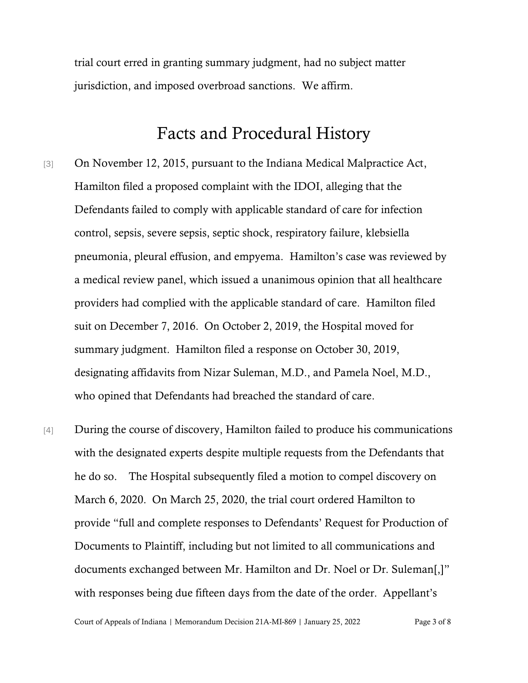trial court erred in granting summary judgment, had no subject matter jurisdiction, and imposed overbroad sanctions. We affirm.

## Facts and Procedural History

- [3] On November 12, 2015, pursuant to the Indiana Medical Malpractice Act, Hamilton filed a proposed complaint with the IDOI, alleging that the Defendants failed to comply with applicable standard of care for infection control, sepsis, severe sepsis, septic shock, respiratory failure, klebsiella pneumonia, pleural effusion, and empyema. Hamilton's case was reviewed by a medical review panel, which issued a unanimous opinion that all healthcare providers had complied with the applicable standard of care. Hamilton filed suit on December 7, 2016. On October 2, 2019, the Hospital moved for summary judgment. Hamilton filed a response on October 30, 2019, designating affidavits from Nizar Suleman, M.D., and Pamela Noel, M.D., who opined that Defendants had breached the standard of care.
- [4] During the course of discovery, Hamilton failed to produce his communications with the designated experts despite multiple requests from the Defendants that he do so. The Hospital subsequently filed a motion to compel discovery on March 6, 2020. On March 25, 2020, the trial court ordered Hamilton to provide "full and complete responses to Defendants' Request for Production of Documents to Plaintiff, including but not limited to all communications and documents exchanged between Mr. Hamilton and Dr. Noel or Dr. Suleman[,]" with responses being due fifteen days from the date of the order. Appellant's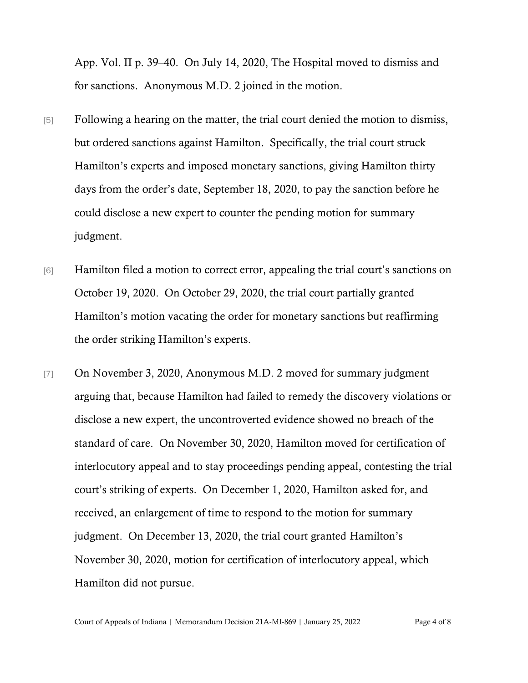App. Vol. II p. 39–40. On July 14, 2020, The Hospital moved to dismiss and for sanctions. Anonymous M.D. 2 joined in the motion.

- [5] Following a hearing on the matter, the trial court denied the motion to dismiss, but ordered sanctions against Hamilton. Specifically, the trial court struck Hamilton's experts and imposed monetary sanctions, giving Hamilton thirty days from the order's date, September 18, 2020, to pay the sanction before he could disclose a new expert to counter the pending motion for summary judgment.
- [6] Hamilton filed a motion to correct error, appealing the trial court's sanctions on October 19, 2020. On October 29, 2020, the trial court partially granted Hamilton's motion vacating the order for monetary sanctions but reaffirming the order striking Hamilton's experts.
- [7] On November 3, 2020, Anonymous M.D. 2 moved for summary judgment arguing that, because Hamilton had failed to remedy the discovery violations or disclose a new expert, the uncontroverted evidence showed no breach of the standard of care. On November 30, 2020, Hamilton moved for certification of interlocutory appeal and to stay proceedings pending appeal, contesting the trial court's striking of experts. On December 1, 2020, Hamilton asked for, and received, an enlargement of time to respond to the motion for summary judgment. On December 13, 2020, the trial court granted Hamilton's November 30, 2020, motion for certification of interlocutory appeal, which Hamilton did not pursue.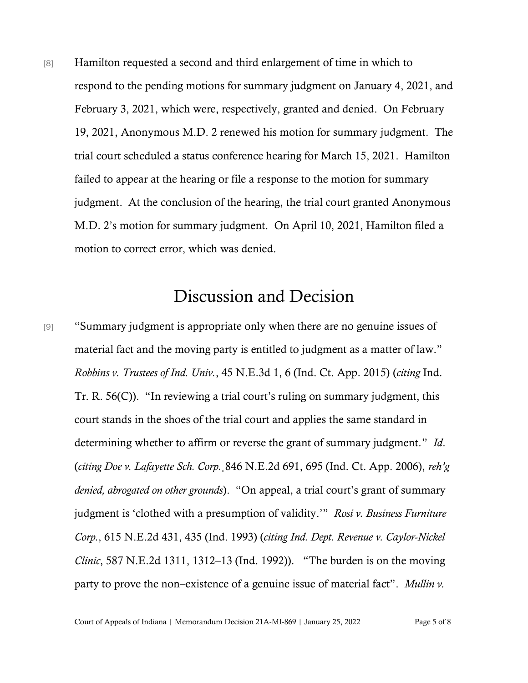[8] Hamilton requested a second and third enlargement of time in which to respond to the pending motions for summary judgment on January 4, 2021, and February 3, 2021, which were, respectively, granted and denied. On February 19, 2021, Anonymous M.D. 2 renewed his motion for summary judgment. The trial court scheduled a status conference hearing for March 15, 2021. Hamilton failed to appear at the hearing or file a response to the motion for summary judgment. At the conclusion of the hearing, the trial court granted Anonymous M.D. 2's motion for summary judgment. On April 10, 2021, Hamilton filed a motion to correct error, which was denied.

# Discussion and Decision

[9] "Summary judgment is appropriate only when there are no genuine issues of material fact and the moving party is entitled to judgment as a matter of law." *Robbins v. Trustees of Ind. Univ.*, 45 N.E.3d 1, 6 (Ind. Ct. App. 2015) (*citing* Ind. Tr. R. 56(C)). "In reviewing a trial court's ruling on summary judgment, this court stands in the shoes of the trial court and applies the same standard in determining whether to affirm or reverse the grant of summary judgment." *Id*. (*citing Doe v. Lafayette Sch. Corp.*¸846 N.E.2d 691, 695 (Ind. Ct. App. 2006), *reh'g denied, abrogated on other grounds*). "On appeal, a trial court's grant of summary judgment is 'clothed with a presumption of validity.'" *Rosi v. Business Furniture Corp.*, 615 N.E.2d 431, 435 (Ind. 1993) (*citing Ind. Dept. Revenue v. Caylor-Nickel Clinic*, 587 N.E.2d 1311, 1312–13 (Ind. 1992)). "The burden is on the moving party to prove the non–existence of a genuine issue of material fact". *Mullin v.*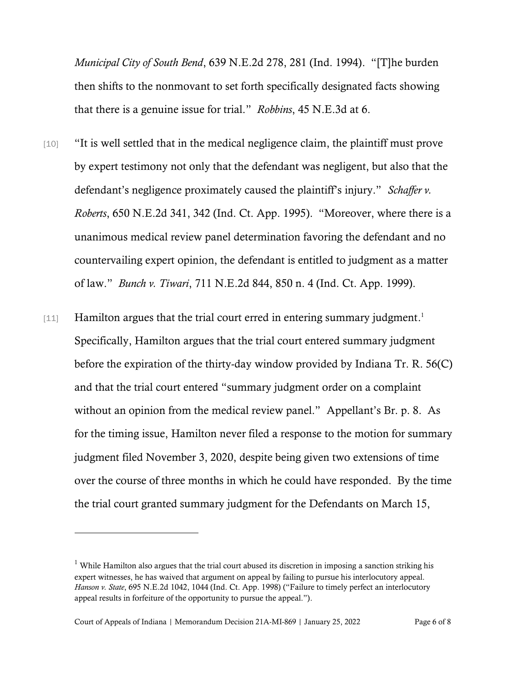*Municipal City of South Bend*, 639 N.E.2d 278, 281 (Ind. 1994). "[T]he burden then shifts to the nonmovant to set forth specifically designated facts showing that there is a genuine issue for trial." *Robbins*, 45 N.E.3d at 6.

- [10] "It is well settled that in the medical negligence claim, the plaintiff must prove by expert testimony not only that the defendant was negligent, but also that the defendant's negligence proximately caused the plaintiff's injury." *Schaffer v. Roberts*, 650 N.E.2d 341, 342 (Ind. Ct. App. 1995). "Moreover, where there is a unanimous medical review panel determination favoring the defendant and no countervailing expert opinion, the defendant is entitled to judgment as a matter of law." *Bunch v. Tiwari*, 711 N.E.2d 844, 850 n. 4 (Ind. Ct. App. 1999).
- [11] Hamilton argues that the trial court erred in entering summary judgment.<sup>1</sup> Specifically, Hamilton argues that the trial court entered summary judgment before the expiration of the thirty-day window provided by Indiana Tr. R. 56(C) and that the trial court entered "summary judgment order on a complaint without an opinion from the medical review panel." Appellant's Br. p. 8. As for the timing issue, Hamilton never filed a response to the motion for summary judgment filed November 3, 2020, despite being given two extensions of time over the course of three months in which he could have responded. By the time the trial court granted summary judgment for the Defendants on March 15,

<sup>&</sup>lt;sup>1</sup> While Hamilton also argues that the trial court abused its discretion in imposing a sanction striking his expert witnesses, he has waived that argument on appeal by failing to pursue his interlocutory appeal. *Hanson v. State*, 695 N.E.2d 1042, 1044 (Ind. Ct. App. 1998) ("Failure to timely perfect an interlocutory appeal results in forfeiture of the opportunity to pursue the appeal.").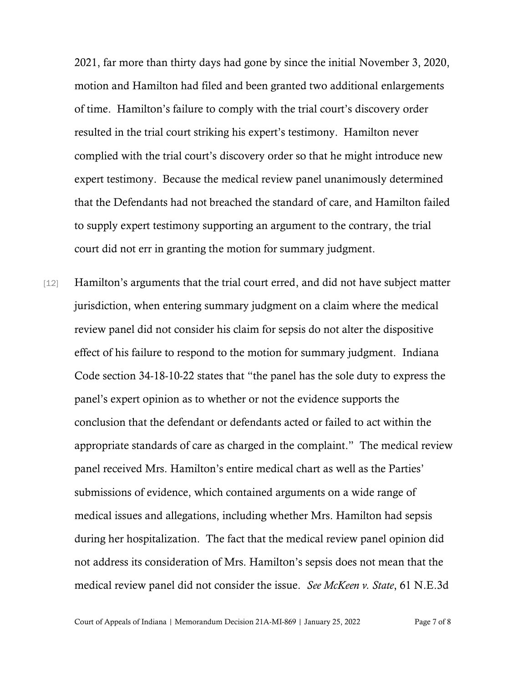2021, far more than thirty days had gone by since the initial November 3, 2020, motion and Hamilton had filed and been granted two additional enlargements of time. Hamilton's failure to comply with the trial court's discovery order resulted in the trial court striking his expert's testimony. Hamilton never complied with the trial court's discovery order so that he might introduce new expert testimony. Because the medical review panel unanimously determined that the Defendants had not breached the standard of care, and Hamilton failed to supply expert testimony supporting an argument to the contrary, the trial court did not err in granting the motion for summary judgment.

[12] Hamilton's arguments that the trial court erred, and did not have subject matter jurisdiction, when entering summary judgment on a claim where the medical review panel did not consider his claim for sepsis do not alter the dispositive effect of his failure to respond to the motion for summary judgment. Indiana Code section 34-18-10-22 states that "the panel has the sole duty to express the panel's expert opinion as to whether or not the evidence supports the conclusion that the defendant or defendants acted or failed to act within the appropriate standards of care as charged in the complaint." The medical review panel received Mrs. Hamilton's entire medical chart as well as the Parties' submissions of evidence, which contained arguments on a wide range of medical issues and allegations, including whether Mrs. Hamilton had sepsis during her hospitalization. The fact that the medical review panel opinion did not address its consideration of Mrs. Hamilton's sepsis does not mean that the medical review panel did not consider the issue. *See McKeen v. State*, 61 N.E.3d